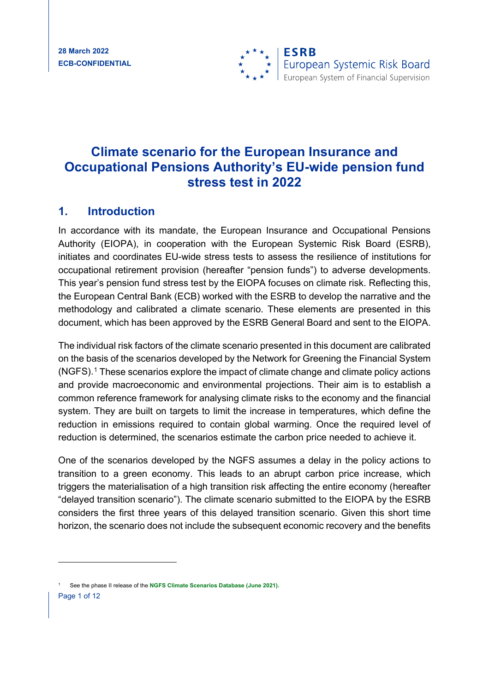

# **Climate scenario for the European Insurance and Occupational Pensions Authority's EU-wide pension fund stress test in 2022**

### **1. Introduction**

In accordance with its mandate, the European Insurance and Occupational Pensions Authority (EIOPA), in cooperation with the European Systemic Risk Board (ESRB), initiates and coordinates EU-wide stress tests to assess the resilience of institutions for occupational retirement provision (hereafter "pension funds") to adverse developments. This year's pension fund stress test by the EIOPA focuses on climate risk. Reflecting this, the European Central Bank (ECB) worked with the ESRB to develop the narrative and the methodology and calibrated a climate scenario. These elements are presented in this document, which has been approved by the ESRB General Board and sent to the EIOPA.

The individual risk factors of the climate scenario presented in this document are calibrated on the basis of the scenarios developed by the Network for Greening the Financial System (NGFS).[1](#page-0-0) These scenarios explore the impact of climate change and climate policy actions and provide macroeconomic and environmental projections. Their aim is to establish a common reference framework for analysing climate risks to the economy and the financial system. They are built on targets to limit the increase in temperatures, which define the reduction in emissions required to contain global warming. Once the required level of reduction is determined, the scenarios estimate the carbon price needed to achieve it.

One of the scenarios developed by the NGFS assumes a delay in the policy actions to transition to a green economy. This leads to an abrupt carbon price increase, which triggers the materialisation of a high transition risk affecting the entire economy (hereafter "delayed transition scenario"). The climate scenario submitted to the EIOPA by the ESRB considers the first three years of this delayed transition scenario. Given this short time horizon, the scenario does not include the subsequent economic recovery and the benefits

<span id="page-0-0"></span>Page 1 of 12 <sup>1</sup> See the phase II release of the **[NGFS Climate Scenarios Database \(June 2021\).](https://www.ngfs.net/sites/default/files/ngfs_climate_scenario_technical_documentation_final.pdf)**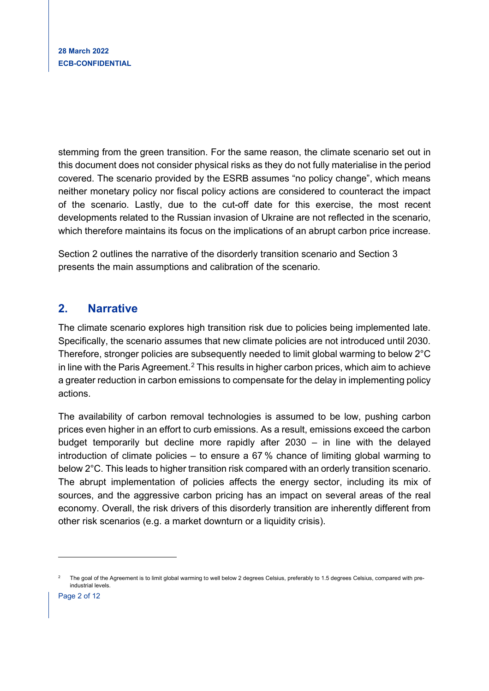stemming from the green transition. For the same reason, the climate scenario set out in this document does not consider physical risks as they do not fully materialise in the period covered. The scenario provided by the ESRB assumes "no policy change", which means neither monetary policy nor fiscal policy actions are considered to counteract the impact of the scenario. Lastly, due to the cut-off date for this exercise, the most recent developments related to the Russian invasion of Ukraine are not reflected in the scenario, which therefore maintains its focus on the implications of an abrupt carbon price increase.

Section 2 outlines the narrative of the disorderly transition scenario and Section 3 presents the main assumptions and calibration of the scenario.

## **2. Narrative**

The climate scenario explores high transition risk due to policies being implemented late. Specifically, the scenario assumes that new climate policies are not introduced until 2030. Therefore, stronger policies are subsequently needed to limit global warming to below 2°C in line with the Paris Agreement.<sup>[2](#page-1-0)</sup> This results in higher carbon prices, which aim to achieve a greater reduction in carbon emissions to compensate for the delay in implementing policy actions.

The availability of carbon removal technologies is assumed to be low, pushing carbon prices even higher in an effort to curb emissions. As a result, emissions exceed the carbon budget temporarily but decline more rapidly after 2030 – in line with the delayed introduction of climate policies – to ensure a 67 % chance of limiting global warming to below 2°C. This leads to higher transition risk compared with an orderly transition scenario. The abrupt implementation of policies affects the energy sector, including its mix of sources, and the aggressive carbon pricing has an impact on several areas of the real economy. Overall, the risk drivers of this disorderly transition are inherently different from other risk scenarios (e.g. a market downturn or a liquidity crisis).

<span id="page-1-0"></span><sup>2</sup> The goal of the Agreement is to limit global warming to well below 2 degrees Celsius, preferably to 1.5 degrees Celsius, compared with preindustrial levels.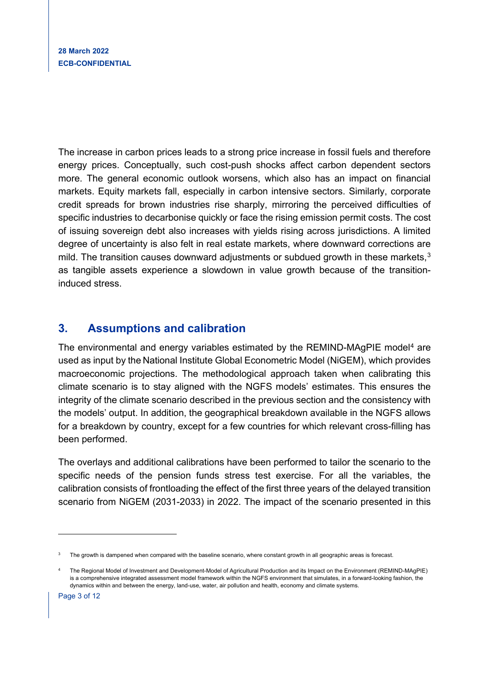The increase in carbon prices leads to a strong price increase in fossil fuels and therefore energy prices. Conceptually, such cost-push shocks affect carbon dependent sectors more. The general economic outlook worsens, which also has an impact on financial markets. Equity markets fall, especially in carbon intensive sectors. Similarly, corporate credit spreads for brown industries rise sharply, mirroring the perceived difficulties of specific industries to decarbonise quickly or face the rising emission permit costs. The cost of issuing sovereign debt also increases with yields rising across jurisdictions. A limited degree of uncertainty is also felt in real estate markets, where downward corrections are mild. The transition causes downward adjustments or subdued growth in these markets,<sup>[3](#page-2-0)</sup> as tangible assets experience a slowdown in value growth because of the transitioninduced stress.

# **3. Assumptions and calibration**

The environmental and energy variables estimated by the REMIND-MAgPIE model<sup>[4](#page-2-1)</sup> are used as input by the National Institute Global Econometric Model (NiGEM), which provides macroeconomic projections. The methodological approach taken when calibrating this climate scenario is to stay aligned with the NGFS models' estimates. This ensures the integrity of the climate scenario described in the previous section and the consistency with the models' output. In addition, the geographical breakdown available in the NGFS allows for a breakdown by country, except for a few countries for which relevant cross-filling has been performed.

The overlays and additional calibrations have been performed to tailor the scenario to the specific needs of the pension funds stress test exercise. For all the variables, the calibration consists of frontloading the effect of the first three years of the delayed transition scenario from NiGEM (2031-2033) in 2022. The impact of the scenario presented in this

<span id="page-2-0"></span>The growth is dampened when compared with the baseline scenario, where constant growth in all geographic areas is forecast.

<span id="page-2-1"></span><sup>4</sup> The Regional Model of Investment and Development-Model of Agricultural Production and its Impact on the Environment (REMIND-MAgPIE) is a comprehensive integrated assessment model framework within the NGFS environment that simulates, in a forward-looking fashion, the dynamics within and between the energy, land-use, water, air pollution and health, economy and climate systems.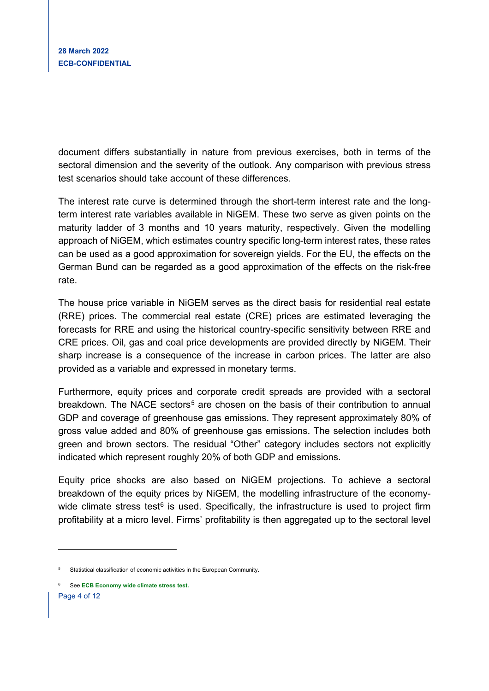document differs substantially in nature from previous exercises, both in terms of the sectoral dimension and the severity of the outlook. Any comparison with previous stress test scenarios should take account of these differences.

The interest rate curve is determined through the short-term interest rate and the longterm interest rate variables available in NiGEM. These two serve as given points on the maturity ladder of 3 months and 10 years maturity, respectively. Given the modelling approach of NiGEM, which estimates country specific long-term interest rates, these rates can be used as a good approximation for sovereign yields. For the EU, the effects on the German Bund can be regarded as a good approximation of the effects on the risk-free rate.

The house price variable in NiGEM serves as the direct basis for residential real estate (RRE) prices. The commercial real estate (CRE) prices are estimated leveraging the forecasts for RRE and using the historical country-specific sensitivity between RRE and CRE prices. Oil, gas and coal price developments are provided directly by NiGEM. Their sharp increase is a consequence of the increase in carbon prices. The latter are also provided as a variable and expressed in monetary terms.

Furthermore, equity prices and corporate credit spreads are provided with a sectoral breakdown. The NACE sectors<sup>[5](#page-3-0)</sup> are chosen on the basis of their contribution to annual GDP and coverage of greenhouse gas emissions. They represent approximately 80% of gross value added and 80% of greenhouse gas emissions. The selection includes both green and brown sectors. The residual "Other" category includes sectors not explicitly indicated which represent roughly 20% of both GDP and emissions.

Equity price shocks are also based on NiGEM projections. To achieve a sectoral breakdown of the equity prices by NiGEM, the modelling infrastructure of the economywide climate stress test $6$  is used. Specifically, the infrastructure is used to project firm profitability at a micro level. Firms' profitability is then aggregated up to the sectoral level

<span id="page-3-1"></span>Page 4 of 12

<span id="page-3-0"></span><sup>5</sup> Statistical classification of economic activities in the European Community.

<sup>6</sup> See **ECB Economy [wide climate stress test.](https://www.ecb.europa.eu/pub/pdf/scpops/ecb.op281%7E05a7735b1c.en.pdf)**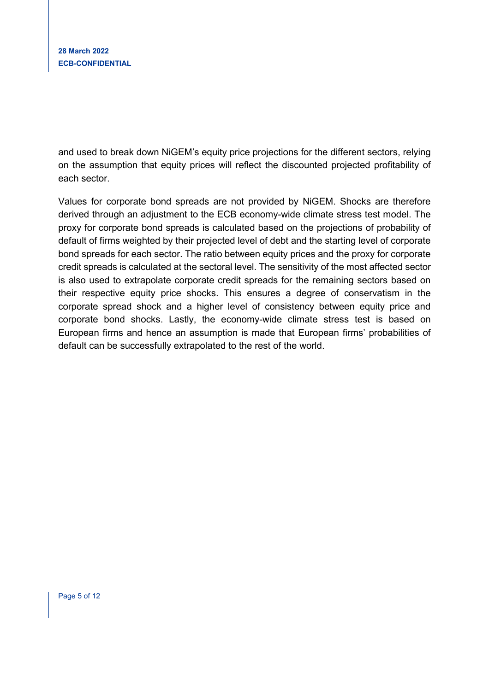and used to break down NiGEM's equity price projections for the different sectors, relying on the assumption that equity prices will reflect the discounted projected profitability of each sector.

Values for corporate bond spreads are not provided by NiGEM. Shocks are therefore derived through an adjustment to the ECB economy-wide climate stress test model. The proxy for corporate bond spreads is calculated based on the projections of probability of default of firms weighted by their projected level of debt and the starting level of corporate bond spreads for each sector. The ratio between equity prices and the proxy for corporate credit spreads is calculated at the sectoral level. The sensitivity of the most affected sector is also used to extrapolate corporate credit spreads for the remaining sectors based on their respective equity price shocks. This ensures a degree of conservatism in the corporate spread shock and a higher level of consistency between equity price and corporate bond shocks. Lastly, the economy-wide climate stress test is based on European firms and hence an assumption is made that European firms' probabilities of default can be successfully extrapolated to the rest of the world.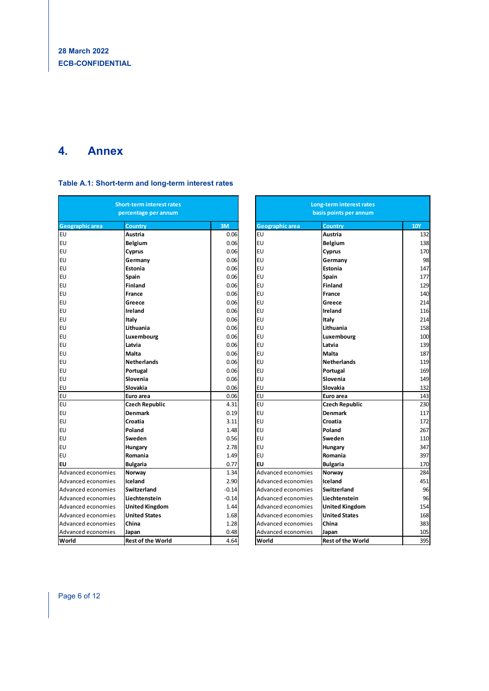# **4. Annex**

#### **Table A.1: Short-term and long-term interest rates**

| <b>Short-term interest rates</b><br>percentage per annum |                          | Long-term interest rates<br>basis points per annum |  |                        |                          |            |
|----------------------------------------------------------|--------------------------|----------------------------------------------------|--|------------------------|--------------------------|------------|
| <b>Geographic area</b>                                   | Country                  | 3M                                                 |  | <b>Geographic area</b> | Country                  | <b>10Y</b> |
| EU                                                       | Austria                  | 0.06                                               |  | <b>EU</b>              | <b>Austria</b>           | 132        |
| EU                                                       | Belgium                  | 0.06                                               |  | <b>EU</b>              | <b>Belgium</b>           | 138        |
| EU                                                       | Cyprus                   | 0.06                                               |  | <b>EU</b>              | Cyprus                   | 170        |
| EU                                                       | Germany                  | 0.06                                               |  | EU                     | Germany                  | 98         |
| EU                                                       | <b>Estonia</b>           | 0.06                                               |  | EU                     | Estonia                  | 147        |
| EU                                                       | Spain                    | 0.06                                               |  | EU                     | Spain                    | 177        |
| EU                                                       | <b>Finland</b>           | 0.06                                               |  | EU                     | <b>Finland</b>           | 129        |
| EU                                                       | France                   | 0.06                                               |  | <b>EU</b>              | France                   | 140        |
| EU                                                       | Greece                   | 0.06                                               |  | EU                     | Greece                   | 214        |
| EU                                                       | <b>Ireland</b>           | 0.06                                               |  | <b>EU</b>              | Ireland                  | 116        |
| EU                                                       | Italy                    | 0.06                                               |  | <b>EU</b>              | Italy                    | 214        |
| EU                                                       | Lithuania                | 0.06                                               |  | EU                     | Lithuania                | 158        |
| EU                                                       | Luxembourg               | 0.06                                               |  | EU                     | Luxembourg               | 100        |
| EU                                                       | Latvia                   | 0.06                                               |  | <b>EU</b>              | Latvia                   | 139        |
| EU                                                       | Malta                    | 0.06                                               |  | EU                     | <b>Malta</b>             | 187        |
| EU                                                       | <b>Netherlands</b>       | 0.06                                               |  | EU                     | <b>Netherlands</b>       | 119        |
| EU                                                       | Portugal                 | 0.06                                               |  | <b>EU</b>              | Portugal                 | 169        |
| EU                                                       | Slovenia                 | 0.06                                               |  | EU                     | Slovenia                 | 149        |
| EU                                                       | Slovakia                 | 0.06                                               |  | EU                     | Slovakia                 | 132        |
| EU                                                       | Euro area                | 0.06                                               |  | EU                     | Euro area                | 143        |
| EU                                                       | <b>Czech Republic</b>    | 4.31                                               |  | <b>EU</b>              | <b>Czech Republic</b>    | 230        |
| EU                                                       | Denmark                  | 0.19                                               |  | <b>EU</b>              | <b>Denmark</b>           | 117        |
| EU                                                       | Croatia                  | 3.11                                               |  | EU                     | Croatia                  | 172        |
| EU                                                       | Poland                   | 1.48                                               |  | EU                     | Poland                   | 267        |
| EU                                                       | Sweden                   | 0.56                                               |  | <b>EU</b>              | Sweden                   | 110        |
| EU                                                       | Hungary                  | 2.78                                               |  | EU                     | <b>Hungary</b>           | 347        |
| EU                                                       | Romania                  | 1.49                                               |  | <b>EU</b>              | Romania                  | 397        |
| EU                                                       | <b>Bulgaria</b>          | 0.77                                               |  | lευ                    | <b>Bulgaria</b>          | 170        |
| Advanced economies                                       | Norway                   | 1.34                                               |  | Advanced economies     | Norway                   | 284        |
| Advanced economies                                       | Iceland                  | 2.90                                               |  | Advanced economies     | Iceland                  | 451        |
| Advanced economies                                       | Switzerland              | $-0.14$                                            |  | Advanced economies     | Switzerland              | 96         |
| Advanced economies                                       | Liechtenstein            | $-0.14$                                            |  | Advanced economies     | Liechtenstein            | 96         |
| Advanced economies                                       | <b>United Kingdom</b>    | 1.44                                               |  | Advanced economies     | <b>United Kingdom</b>    | 154        |
| Advanced economies                                       | <b>United States</b>     | 1.68                                               |  | Advanced economies     | <b>United States</b>     | 168        |
| Advanced economies                                       | China                    | 1.28                                               |  | Advanced economies     | China                    | 383        |
| Advanced economies                                       | Japan                    | 0.48                                               |  | Advanced economies     | Japan                    | 105        |
| lWorld                                                   | <b>Rest of the World</b> | 4.64                                               |  | World                  | <b>Rest of the World</b> | 395        |

| <b>Short-term interest rates</b><br>percentage per annum |                          |         | Long-term interest rates<br>basis points per annum |                          |            |
|----------------------------------------------------------|--------------------------|---------|----------------------------------------------------|--------------------------|------------|
| Geographic area                                          | Country                  | 3M      | Geographic area                                    | Country                  | <b>10Y</b> |
| EU                                                       | Austria                  | 0.06    | <b>EU</b>                                          | Austria                  | 132        |
| EU                                                       | <b>Belgium</b>           | 0.06    | <b>EU</b>                                          | <b>Belgium</b>           | 138        |
| EU                                                       | Cyprus                   | 0.06    | EU                                                 | Cyprus                   | 170        |
| EU                                                       | Germany                  | 0.06    | EU                                                 | Germany                  | 98         |
| EU                                                       | Estonia                  | 0.06    | EU                                                 | Estonia                  | 147        |
| EU                                                       | Spain                    | 0.06    | <b>EU</b>                                          | Spain                    | 177        |
| EU                                                       | <b>Finland</b>           | 0.06    | <b>EU</b>                                          | <b>Finland</b>           | 129        |
| EU                                                       | <b>France</b>            | 0.06    | <b>EU</b>                                          | <b>France</b>            | 140        |
| EU                                                       | Greece                   | 0.06    | <b>EU</b>                                          | Greece                   | 214        |
| EU                                                       | <b>Ireland</b>           | 0.06    | <b>EU</b>                                          | Ireland                  | 116        |
| EU                                                       | Italy                    | 0.06    | <b>EU</b>                                          | Italy                    | 214        |
| EU                                                       | Lithuania                | 0.06    | EU                                                 | Lithuania                | 158        |
| EU                                                       | Luxembourg               | 0.06    | <b>EU</b>                                          | Luxembourg               | 100        |
| EU                                                       | Latvia                   | 0.06    | EU                                                 | Latvia                   | 139        |
| EU                                                       | <b>Malta</b>             | 0.06    | EU                                                 | Malta                    | 187        |
| EU                                                       | <b>Netherlands</b>       | 0.06    | <b>EU</b>                                          | <b>Netherlands</b>       | 119        |
| EU                                                       | Portugal                 | 0.06    | EU                                                 | Portugal                 | 169        |
| EU                                                       | Slovenia                 | 0.06    | <b>EU</b>                                          | Slovenia                 | 149        |
| EU                                                       | Slovakia                 | 0.06    | EU                                                 | Slovakia                 | 132        |
| EU                                                       | Euro area                | 0.06    | EU                                                 | Euro area                | 143        |
| EU                                                       | <b>Czech Republic</b>    | 4.31    | EU                                                 | Czech Republic           | 230        |
| EU                                                       | Denmark                  | 0.19    | <b>EU</b>                                          | <b>Denmark</b>           | 117        |
| EU                                                       | Croatia                  | 3.11    | <b>EU</b>                                          | Croatia                  | 172        |
| EU                                                       | Poland                   | 1.48    | <b>EU</b>                                          | Poland                   | 267        |
| EU                                                       | Sweden                   | 0.56    | EU                                                 | Sweden                   | 110        |
| EU                                                       | Hungary                  | 2.78    | <b>EU</b>                                          | Hungary                  | 347        |
| EU                                                       | Romania                  | 1.49    | <b>EU</b>                                          | Romania                  | 397        |
| EU                                                       | <b>Bulgaria</b>          | 0.77    | EU                                                 | <b>Bulgaria</b>          | 170        |
| Advanced economies                                       | Norway                   | 1.34    | Advanced economies                                 | Norway                   | 284        |
| Advanced economies                                       | Iceland                  | 2.90    | Advanced economies                                 | Iceland                  | 451        |
| Advanced economies                                       | Switzerland              | $-0.14$ | Advanced economies                                 | <b>Switzerland</b>       | 96         |
| Advanced economies                                       | Liechtenstein            | $-0.14$ | Advanced economies                                 | Liechtenstein            | 96         |
| Advanced economies                                       | <b>United Kingdom</b>    | 1.44    | Advanced economies                                 | <b>United Kingdom</b>    | 154        |
| Advanced economies                                       | <b>United States</b>     | 1.68    | Advanced economies                                 | <b>United States</b>     | 168        |
| Advanced economies                                       | China                    | 1.28    | Advanced economies                                 | China                    | 383        |
| Advanced economies                                       | Japan                    | 0.48    | Advanced economies                                 | Japan                    | 105        |
| World                                                    | <b>Rest of the World</b> | 4.64    | World                                              | <b>Rest of the World</b> | 395        |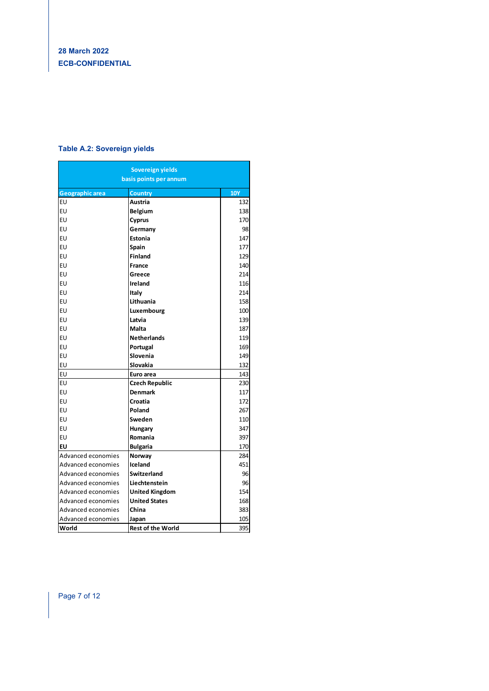### **Table A.2: Sovereign yields**

| Sovereign yields<br>basis points per annum |                          |            |  |
|--------------------------------------------|--------------------------|------------|--|
| <b>Geographic area</b>                     | <b>Country</b>           | <b>10Y</b> |  |
| EU                                         | Austria                  | 132        |  |
| EU                                         | Belgium                  | 138        |  |
| EU                                         | Cyprus                   | 170        |  |
| EU                                         | Germany                  | 98         |  |
| EU                                         | Estonia                  | 147        |  |
| EU                                         | Spain                    | 177        |  |
| EU                                         | <b>Finland</b>           | 129        |  |
| EU                                         | France                   | 140        |  |
| EU                                         | Greece                   | 214        |  |
| EU                                         | Ireland                  | 116        |  |
| EU                                         | Italy                    | 214        |  |
| EU                                         | Lithuania                | 158        |  |
| EU                                         | Luxembourg               | 100        |  |
| EU                                         | Latvia                   | 139        |  |
| EU                                         | Malta                    | 187        |  |
| EU                                         | <b>Netherlands</b>       | 119        |  |
| EU                                         | Portugal                 | 169        |  |
| EU                                         | Slovenia                 | 149        |  |
| EU                                         | <b>Slovakia</b>          | 132        |  |
| EU                                         | Euro area                | 143        |  |
| EU                                         | Czech Republic           | 230        |  |
| EU                                         | <b>Denmark</b>           | 117        |  |
| EU                                         | Croatia                  | 172        |  |
| EU                                         | Poland                   | 267        |  |
| EU                                         | Sweden                   | 110        |  |
| EU                                         | Hungary                  | 347        |  |
| EU                                         | Romania                  | 397        |  |
| EU                                         | <b>Bulgaria</b>          | 170        |  |
| Advanced economies                         | Norway                   | 284        |  |
| Advanced economies                         | Iceland                  | 451        |  |
| Advanced economies                         | Switzerland              | 96         |  |
| Advanced economies                         | Liechtenstein            | 96         |  |
| Advanced economies                         | <b>United Kingdom</b>    | 154        |  |
| Advanced economies                         | <b>United States</b>     | 168        |  |
| Advanced economies                         | China                    | 383        |  |
| Advanced economies                         | Japan                    | 105        |  |
| World                                      | <b>Rest of the World</b> | 395        |  |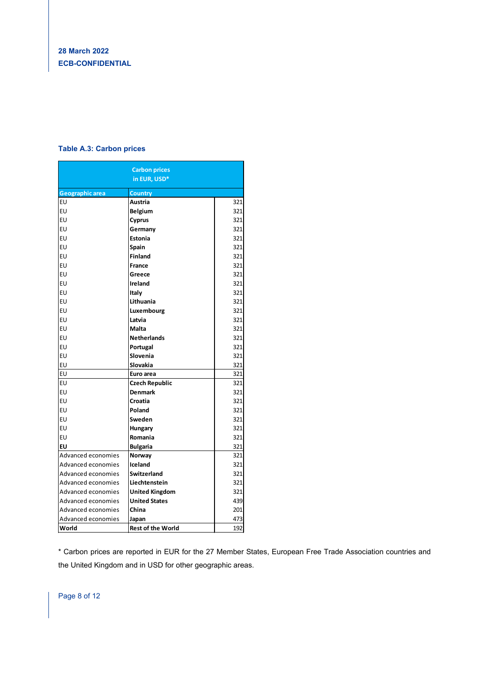### **Table A.3: Carbon prices**

|                        | <b>Carbon prices</b>     |     |  |  |
|------------------------|--------------------------|-----|--|--|
| in EUR, USD*           |                          |     |  |  |
| <b>Geographic area</b> | Country                  |     |  |  |
| EU                     | Austria                  | 321 |  |  |
| EU                     | Belgium                  | 321 |  |  |
| EU                     | Cyprus                   | 321 |  |  |
| EU                     | Germany                  | 321 |  |  |
| EU                     | Estonia                  | 321 |  |  |
| EU                     | Spain                    | 321 |  |  |
| EU                     | Finland                  | 321 |  |  |
| EU                     | France                   | 321 |  |  |
| EU                     | Greece                   | 321 |  |  |
| EU                     | Ireland                  | 321 |  |  |
| EU                     | Italy                    | 321 |  |  |
| EU                     | Lithuania                | 321 |  |  |
| EU                     | Luxembourg               | 321 |  |  |
| EU                     | Latvia                   | 321 |  |  |
| EU                     | Malta                    | 321 |  |  |
| EU                     | <b>Netherlands</b>       | 321 |  |  |
| EU                     | Portugal                 | 321 |  |  |
| EU                     | Slovenia                 | 321 |  |  |
| EU                     | Slovakia                 | 321 |  |  |
| EU                     | Euro area                | 321 |  |  |
| EU                     | <b>Czech Republic</b>    | 321 |  |  |
| EU                     | <b>Denmark</b>           | 321 |  |  |
| EU                     | Croatia                  | 321 |  |  |
| EU                     | Poland                   | 321 |  |  |
| EU                     | Sweden                   | 321 |  |  |
| EU                     | Hungary                  | 321 |  |  |
| EU                     | Romania                  | 321 |  |  |
| EU                     | Bulgaria                 | 321 |  |  |
| Advanced economies     | Norway                   | 321 |  |  |
| Advanced economies     | Iceland                  | 321 |  |  |
| Advanced economies     | <b>Switzerland</b>       | 321 |  |  |
| Advanced economies     | Liechtenstein            | 321 |  |  |
| Advanced economies     | <b>United Kingdom</b>    | 321 |  |  |
| Advanced economies     | <b>United States</b>     | 439 |  |  |
| Advanced economies     | China                    | 201 |  |  |
| Advanced economies     | Japan                    | 473 |  |  |
| World                  | <b>Rest of the World</b> | 192 |  |  |

\* Carbon prices are reported in EUR for the 27 Member States, European Free Trade Association countries and the United Kingdom and in USD for other geographic areas.

Page 8 of 12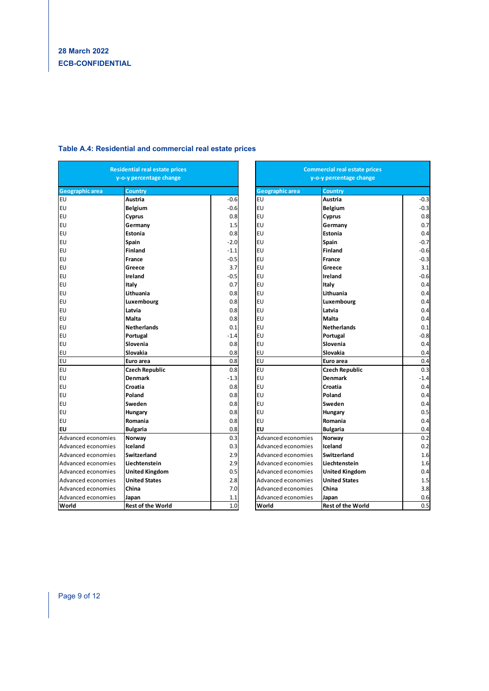| <b>Residential real estate prices</b><br>y-o-y percentage change |                          |        | <b>Commercial real estate prices</b><br>y-o-y percentage change |                          |        |  |
|------------------------------------------------------------------|--------------------------|--------|-----------------------------------------------------------------|--------------------------|--------|--|
| Geographic area<br>Country                                       |                          |        | <b>Geographic area</b><br>Country                               |                          |        |  |
| EU                                                               | Austria                  | $-0.6$ | EU                                                              | Austria                  | -0.3   |  |
| EU                                                               | <b>Belgium</b>           | $-0.6$ | EU                                                              | <b>Belgium</b>           | $-0.3$ |  |
| EU                                                               | Cyprus                   | 0.8    | EU                                                              | Cyprus                   | 0.8    |  |
| EU                                                               | Germany                  | 1.5    | EU                                                              | Germany                  | 0.7    |  |
| EU                                                               | Estonia                  | 0.8    | EU                                                              | Estonia                  | 0.4    |  |
| EU                                                               | Spain                    | $-2.0$ | EU                                                              | Spain                    | -0.7   |  |
| EU                                                               | <b>Finland</b>           | $-1.1$ | EU                                                              | Finland                  | -0.6   |  |
| EU                                                               | France                   | $-0.5$ | EU                                                              | France                   | $-0.3$ |  |
| EU                                                               | Greece                   | 3.7    | EU                                                              | Greece                   | 3.1    |  |
| EU                                                               | Ireland                  | $-0.5$ | EU                                                              | Ireland                  | $-0.6$ |  |
| EU                                                               | Italy                    | 0.7    | <b>EU</b>                                                       | Italy                    | 0.4    |  |
| EU                                                               | Lithuania                | 0.8    | EU                                                              | Lithuania                | 0.4    |  |
| EU                                                               | Luxembourg               | 0.8    | EU                                                              | Luxembourg               | 0.4    |  |
| EU                                                               | Latvia                   | 0.8    | EU                                                              | Latvia                   | 0.4    |  |
| EU                                                               | Malta                    | 0.8    | EU                                                              | Malta                    | 0.4    |  |
| EU                                                               | <b>Netherlands</b>       | 0.1    | EU                                                              | <b>Netherlands</b>       | 0.1    |  |
| EU                                                               | Portugal                 | $-1.4$ | EU                                                              | Portugal                 | -0.8   |  |
| EU                                                               | Slovenia                 | 0.8    | EU                                                              | Slovenia                 | 0.4    |  |
| EU                                                               | Slovakia                 | 0.8    | EU                                                              | Slovakia                 | 0.4    |  |
| EU                                                               | Euro area                | 0.8    | EU                                                              | Euro area                | 0.4    |  |
| EU                                                               | <b>Czech Republic</b>    | 0.8    | EU                                                              | Czech Republic           | 0.3    |  |
| EU                                                               | <b>Denmark</b>           | $-1.3$ | EU                                                              | <b>Denmark</b>           | -1.4   |  |
| EU                                                               | Croatia                  | 0.8    | EU                                                              | Croatia                  | 0.4    |  |
| EU                                                               | Poland                   | 0.8    | EU                                                              | Poland                   | 0.4    |  |
| EU                                                               | Sweden                   | 0.8    | EU                                                              | Sweden                   | 0.4    |  |
| EU                                                               | Hungary                  | 0.8    | EU                                                              | Hungary                  | 0.5    |  |
| EU                                                               | Romania                  | 0.8    | EU                                                              | Romania                  | 0.4    |  |
| EU                                                               | <b>Bulgaria</b>          | 0.8    | EU                                                              | <b>Bulgaria</b>          | 0.4    |  |
| Advanced economies                                               | Norway                   | 0.3    | Advanced economies                                              | Norway                   | 0.2    |  |
| Advanced economies                                               | Iceland                  | 0.3    | Advanced economies                                              | Iceland                  | 0.2    |  |
| Advanced economies                                               | <b>Switzerland</b>       | 2.9    | Advanced economies                                              | <b>Switzerland</b>       | 1.6    |  |
| Advanced economies                                               | Liechtenstein            | 2.9    | Advanced economies                                              | Liechtenstein            | 1.6    |  |
| Advanced economies                                               | <b>United Kingdom</b>    | 0.5    | Advanced economies                                              | United Kingdom           | 0.4    |  |
| Advanced economies                                               | <b>United States</b>     | 2.8    | Advanced economies                                              | <b>United States</b>     | 1.5    |  |
| Advanced economies                                               | China                    | 7.0    | Advanced economies                                              | China                    | 3.8    |  |
| Advanced economies                                               | Japan                    | 1.1    | Advanced economies                                              | Japan                    | 0.6    |  |
| World                                                            | <b>Rest of the World</b> | 1.0    | World                                                           | <b>Rest of the World</b> | 0.5    |  |

#### **Table A.4: Residential and commercial real estate prices**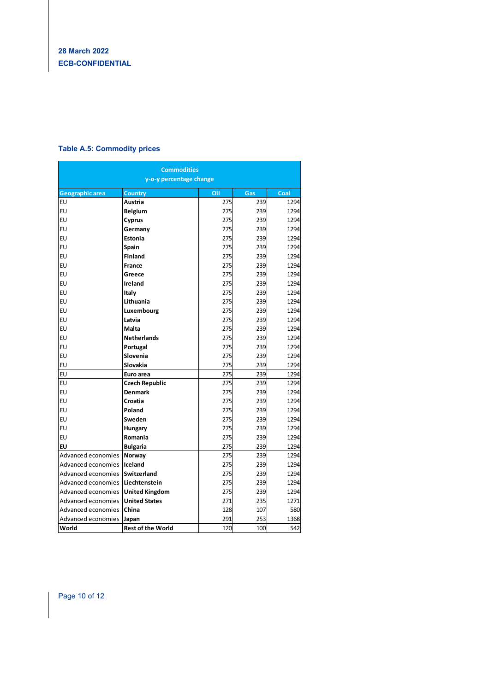### **Table A.5: Commodity prices**

| <b>Commodities</b><br>y-o-y percentage change |                           |            |            |              |  |  |
|-----------------------------------------------|---------------------------|------------|------------|--------------|--|--|
|                                               |                           |            |            |              |  |  |
| Geographic area<br>EU                         | <b>Country</b><br>Austria | Oil<br>275 | Gas<br>239 | Coal<br>1294 |  |  |
| EU                                            | <b>Belgium</b>            | 275        | 239        | 1294         |  |  |
| EU                                            | Cyprus                    | 275        | 239        | 1294         |  |  |
| EU                                            | Germany                   | 275        | 239        | 1294         |  |  |
| EU                                            | <b>Estonia</b>            | 275        | 239        | 1294         |  |  |
| EU                                            | Spain                     | 275        | 239        | 1294         |  |  |
| EU                                            | <b>Finland</b>            | 275        | 239        | 1294         |  |  |
| EU                                            | France                    | 275        | 239        | 1294         |  |  |
| EU                                            | Greece                    | 275        | 239        | 1294         |  |  |
| EU                                            | <b>Ireland</b>            | 275        | 239        | 1294         |  |  |
| EU                                            | Italy                     | 275        | 239        | 1294         |  |  |
| EU                                            | Lithuania                 | 275        | 239        | 1294         |  |  |
| EU                                            | Luxembourg                | 275        | 239        | 1294         |  |  |
| EU                                            | Latvia                    | 275        | 239        | 1294         |  |  |
| EU                                            | Malta                     | 275        | 239        | 1294         |  |  |
| EU                                            | <b>Netherlands</b>        | 275        | 239        | 1294         |  |  |
| EU                                            | Portugal                  | 275        | 239        | 1294         |  |  |
| EU                                            | Slovenia                  | 275        | 239        | 1294         |  |  |
| EU                                            | Slovakia                  | 275        | 239        | 1294         |  |  |
| EU                                            | Euro area                 | 275        | 239        | 1294         |  |  |
| EU                                            | <b>Czech Republic</b>     | 275        | 239        | 1294         |  |  |
| EU                                            | <b>Denmark</b>            | 275        | 239        | 1294         |  |  |
| EU                                            | Croatia                   | 275        | 239        | 1294         |  |  |
| EU                                            | Poland                    | 275        | 239        | 1294         |  |  |
| EU                                            | Sweden                    | 275        | 239        | 1294         |  |  |
| EU                                            | Hungary                   | 275        | 239        | 1294         |  |  |
| EU                                            | Romania                   | 275        | 239        | 1294         |  |  |
| EU                                            | <b>Bulgaria</b>           | 275        | 239        | 1294         |  |  |
| Advanced economies                            | Norway                    | 275        | 239        | 1294         |  |  |
| Advanced economies                            | Iceland                   | 275        | 239        | 1294         |  |  |
| Advanced economies                            | <b>Switzerland</b>        | 275        | 239        | 1294         |  |  |
| Advanced economies                            | Liechtenstein             | 275        | 239        | 1294         |  |  |
| Advanced economies                            | <b>United Kingdom</b>     | 275        | 239        | 1294         |  |  |
| Advanced economies                            | <b>United States</b>      | 271        | 235        | 1271         |  |  |
| Advanced economies                            | China                     | 128        | 107        | 580          |  |  |
| Advanced economies                            | Japan                     | 291        | 253        | 1368         |  |  |
| World                                         | <b>Rest of the World</b>  | 120        | 100        | 542          |  |  |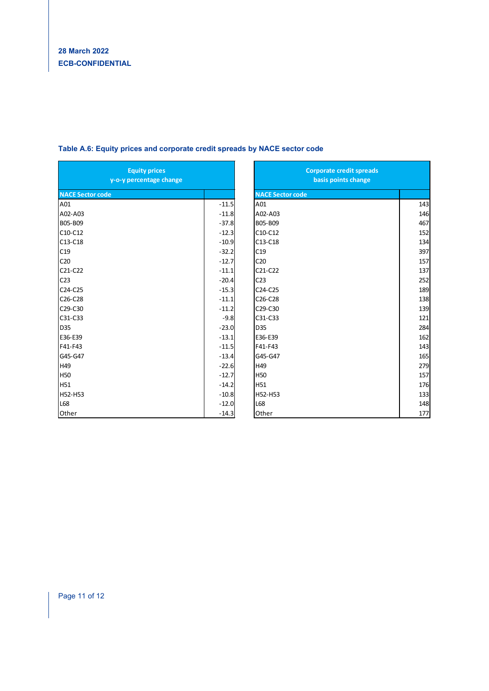| <b>Equity prices</b><br>y-o-y percentage change |         | <b>Corporate credit spreads</b><br>basis points change |     |  |
|-------------------------------------------------|---------|--------------------------------------------------------|-----|--|
| <b>NACE Sector code</b>                         |         | <b>NACE Sector code</b>                                |     |  |
| A01                                             | $-11.5$ | A01                                                    | 143 |  |
| A02-A03                                         | $-11.8$ | A02-A03                                                | 146 |  |
| B05-B09                                         | $-37.8$ | B05-B09                                                | 467 |  |
| C10-C12                                         | $-12.3$ | C10-C12                                                | 152 |  |
| C13-C18                                         | $-10.9$ | C13-C18                                                | 134 |  |
| C19                                             | $-32.2$ | C19                                                    | 397 |  |
| C <sub>20</sub>                                 | $-12.7$ | C <sub>20</sub>                                        | 157 |  |
| C21-C22                                         | $-11.1$ | C21-C22                                                | 137 |  |
| C <sub>23</sub>                                 | $-20.4$ | C <sub>23</sub>                                        | 252 |  |
| C24-C25                                         | $-15.3$ | C24-C25                                                | 189 |  |
| C26-C28                                         | $-11.1$ | C26-C28                                                | 138 |  |
| C29-C30                                         | $-11.2$ | C29-C30                                                | 139 |  |
| C31-C33                                         | $-9.8$  | C31-C33                                                | 121 |  |
| <b>D35</b>                                      | $-23.0$ | D35                                                    | 284 |  |
| E36-E39                                         | $-13.1$ | E36-E39                                                | 162 |  |
| F41-F43                                         | $-11.5$ | F41-F43                                                | 143 |  |
| G45-G47                                         | $-13.4$ | G45-G47                                                | 165 |  |
| H49                                             | $-22.6$ | H49                                                    | 279 |  |
| <b>H50</b>                                      | $-12.7$ | <b>H50</b>                                             | 157 |  |
| <b>H51</b>                                      | $-14.2$ | H51                                                    | 176 |  |
| H52-H53                                         | $-10.8$ | H52-H53                                                | 133 |  |
| L68                                             | $-12.0$ | L68                                                    | 148 |  |
| Other                                           | $-14.3$ | Other                                                  | 177 |  |

#### **Table A.6: Equity prices and corporate credit spreads by NACE sector code**

| <b>Corporate credit spreads</b><br>basis points change |     |
|--------------------------------------------------------|-----|
| <b>NACE Sector code</b>                                |     |
| A01                                                    | 143 |
| A02-A03                                                | 146 |
| B05-B09                                                | 467 |
| C10-C12                                                | 152 |
| C13-C18                                                | 134 |
| C19                                                    | 397 |
| C <sub>20</sub>                                        | 157 |
| $C21-C22$                                              | 137 |
| C <sub>23</sub>                                        | 252 |
| C24-C25                                                | 189 |
| C26-C28                                                | 138 |
| C29-C30                                                | 139 |
| C31-C33                                                | 121 |
| D35                                                    | 284 |
| E36-E39                                                | 162 |
| F41-F43                                                | 143 |
| G45-G47                                                | 165 |
| H49                                                    | 279 |
| <b>H50</b>                                             | 157 |
| H51                                                    | 176 |
| H52-H53                                                | 133 |
| L68                                                    | 148 |
| Other                                                  | 177 |